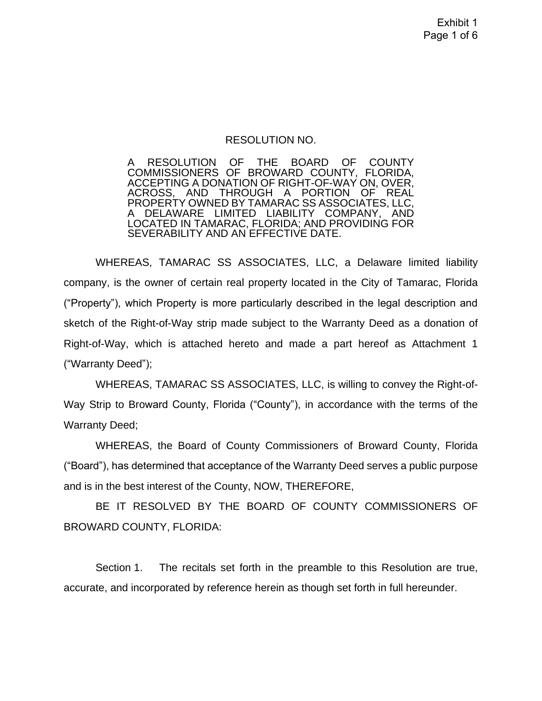#### RESOLUTION NO.

A RESOLUTION OF THE BOARD OF COUNTY COMMISSIONERS OF BROWARD COUNTY, FLORIDA, ACCEPTING A DONATION OF RIGHT-OF-WAY ON, OVER, ACROSS, AND THROUGH A PORTION OF REAL PROPERTY OWNED BY TAMARAC SS ASSOCIATES, LLC, A DELAWARE LIMITED LIABILITY COMPANY, LOCATED IN TAMARAC, FLORIDA; AND PROVIDING FOR SEVERABILITY AND AN EFFECTIVE DATE.

WHEREAS, TAMARAC SS ASSOCIATES, LLC, a Delaware limited liability company, is the owner of certain real property located in the City of Tamarac, Florida ("Property"), which Property is more particularly described in the legal description and sketch of the Right-of-Way strip made subject to the Warranty Deed as a donation of Right-of-Way, which is attached hereto and made a part hereof as Attachment 1 ("Warranty Deed");

WHEREAS, TAMARAC SS ASSOCIATES, LLC, is willing to convey the Right-of-Way Strip to Broward County, Florida ("County"), in accordance with the terms of the Warranty Deed;

WHEREAS, the Board of County Commissioners of Broward County, Florida ("Board"), has determined that acceptance of the Warranty Deed serves a public purpose and is in the best interest of the County, NOW, THEREFORE,

BE IT RESOLVED BY THE BOARD OF COUNTY COMMISSIONERS OF BROWARD COUNTY, FLORIDA:

Section 1. The recitals set forth in the preamble to this Resolution are true, accurate, and incorporated by reference herein as though set forth in full hereunder.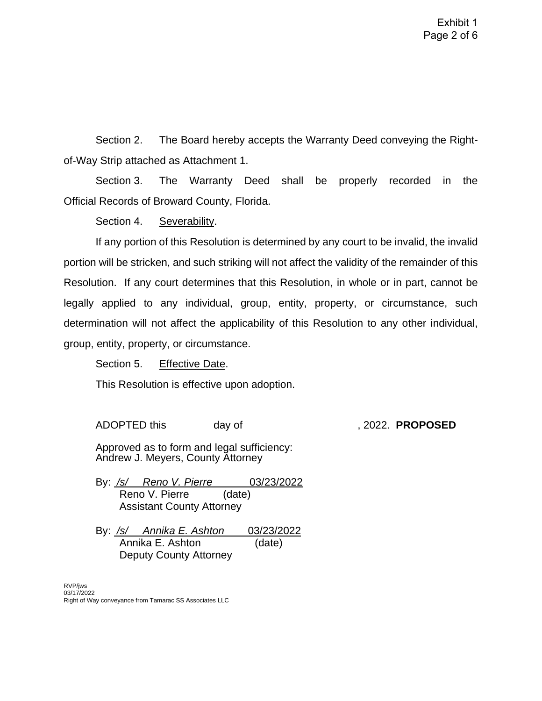Section 2. The Board hereby accepts the Warranty Deed conveying the Rightof-Way Strip attached as Attachment 1.

Section 3. The Warranty Deed shall be properly recorded in the Official Records of Broward County, Florida.

Section 4. Severability.

If any portion of this Resolution is determined by any court to be invalid, the invalid portion will be stricken, and such striking will not affect the validity of the remainder of this Resolution. If any court determines that this Resolution, in whole or in part, cannot be legally applied to any individual, group, entity, property, or circumstance, such determination will not affect the applicability of this Resolution to any other individual, group, entity, property, or circumstance.

Section 5. Effective Date.

This Resolution is effective upon adoption.

ADOPTED this day of , 2022. **PROPOSED**

Approved as to form and legal sufficiency: Andrew J. Meyers, County Attorney

By: */s/ Reno V. Pierre* 03/23/2022 Reno V. Pierre (date) Assistant County Attorney

By: */s/ Annika E. Ashton* 03/23/2022 Annika E. Ashton (date) Deputy County Attorney

RVP/jws 03/17/2022 Right of Way conveyance from Tamarac SS Associates LLC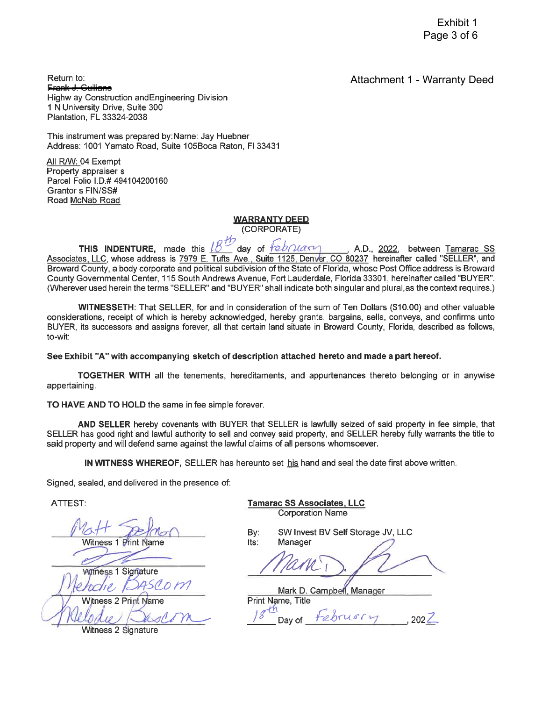**Attachment 1 - Warranty Deed** 

Return to:  $E$ cank  $\perp$ Highw ay Construction and Engineering Division 1 N University Drive, Suite 300 Plantation, FL 33324-2038

This instrument was prepared by: Name: Jay Huebner Address: 1001 Yamato Road, Suite 105Boca Raton, FI 33431

All R/W: 04 Exempt Property appraiser s Parcel Folio I.D.# 494104200160 Grantor s FIN/SS# Road McNab Road

#### **WARRANTY DEED**

(CORPORATE)

THIS INDENTURE, made this day of tebruary A.D., 2022, between Tamarac SS Associates, LLC, whose address is 7979 E. Tufts Ave., Suite 1125, Denver, CO 80237 hereinafter called "SELLER", and Broward County, a body corporate and political subdivision of the State of Florida, whose Post Office address is Broward County Governmental Center, 115 South Andrews Avenue, Fort Lauderdale, Florida 33301, hereinafter called "BUYER". (Wherever used herein the terms "SELLER" and "BUYER" shall indicate both singular and plural, as the context requires.)

WITNESSETH: That SELLER, for and in consideration of the sum of Ten Dollars (\$10.00) and other valuable considerations, receipt of which is hereby acknowledged, hereby grants, bargains, sells, conveys, and confirms unto BUYER, its successors and assigns forever, all that certain land situate in Broward County, Florida, described as follows, to-wit:

See Exhibit "A" with accompanying sketch of description attached hereto and made a part hereof.

TOGETHER WITH all the tenements, hereditaments, and appurtenances thereto belonging or in anywise appertaining.

TO HAVE AND TO HOLD the same in fee simple forever.

AND SELLER hereby covenants with BUYER that SELLER is lawfully seized of said property in fee simple, that SELLER has good right and lawful authority to sell and convey said property, and SELLER hereby fully warrants the title to said property and will defend same against the lawful claims of all persons whomsoever.

IN WITNESS WHEREOF, SELLER has hereunto set his hand and seal the date first above written.

Signed, sealed, and delivered in the presence of:

ATTEST:

Witness<sub>1</sub>

**Witness 1 Signature Witness 2 Print Name** 

Witness 2 Signature

**Tamarac SS Associates, LLC Corporation Name** 

By: Its:

SW Invest BV Self Storage JV, LLC Manager

Mark D. Campbell. Manager **Print Name. Title**  $hruafy$ Dav of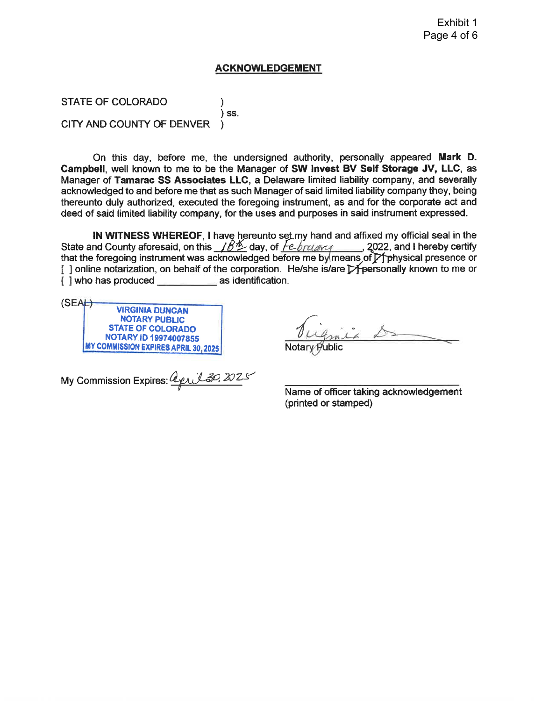#### Exhibit 1 Page 4 of 6

#### **ACKNOWLEDGEMENT**

STATE OF COLORADO ١  $\overline{\phantom{a}}$  SS. CITY AND COUNTY OF DENVER

On this day, before me, the undersigned authority, personally appeared Mark D. Campbell, well known to me to be the Manager of SW Invest BV Self Storage JV, LLC, as Manager of Tamarac SS Associates LLC, a Delaware limited liability company, and severally acknowledged to and before me that as such Manager of said limited liability company they, being thereunto duly authorized, executed the foregoing instrument, as and for the corporate act and deed of said limited liability company, for the uses and purposes in said instrument expressed.

IN WITNESS WHEREOF. I have hereunto set my hand and affixed my official seal in the State and County aforesaid, on this  $\angle B^{\#}$  day, of  $\overline{f^{e.b}$  rulers 2022, and I hereby certify that the foregoing instrument was acknowledged before me by means of  $\gamma$  physical presence or [] online notarization, on behalf of the corporation. He/she is/are Expersonally known to me or [ ] who has produced as identification.

 $(SEAE)$ **VIRGINIA DUNCAN NOTARY PUBLIC STATE OF COLORADO** NOTARY ID 19974007855 MY COMMISSION EXPIRES APRIL 30, 2025

Notary

My Commission Expires: <u>april 30, 2025</u>

Name of officer taking acknowledgement (printed or stamped)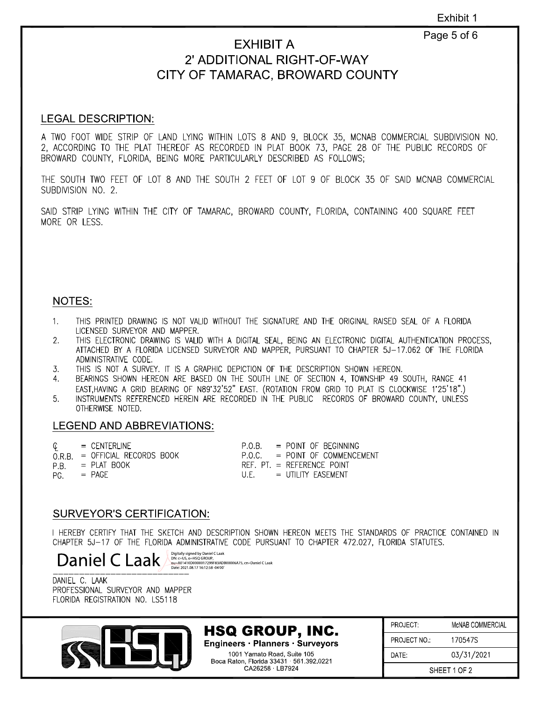## Page 5 of 6

# **EXHIBIT A 2' ADDITIONAL RIGHT-OF-WAY CITY OF TAMARAC, BROWARD COUNTY**

#### **LEGAL DESCRIPTION:**

A TWO FOOT WIDE STRIP OF LAND LYING WITHIN LOTS 8 AND 9, BLOCK 35, MCNAB COMMERCIAL SUBDIVISION NO. 2, ACCORDING TO THE PLAT THEREOF AS RECORDED IN PLAT BOOK 73, PAGE 28 OF THE PUBLIC RECORDS OF BROWARD COUNTY, FLORIDA, BEING MORE PARTICULARLY DESCRIBED AS FOLLOWS;

THE SOUTH TWO FEET OF LOT 8 AND THE SOUTH 2 FEET OF LOT 9 OF BLOCK 35 OF SAID MCNAB COMMERCIAL SUBDIVISION NO. 2.

SAID STRIP LYING WITHIN THE CITY OF TAMARAC, BROWARD COUNTY, FLORIDA, CONTAINING 400 SQUARE FEET MORE OR LESS.

#### **NOTES:**

- 1. THIS PRINTED DRAWING IS NOT VALID WITHOUT THE SIGNATURE AND THE ORIGINAL RAISED SEAL OF A FLORIDA LICENSED SURVEYOR AND MAPPER.
- 2. THIS ELECTRONIC DRAWING IS VALID WITH A DIGITAL SEAL, BEING AN ELECTRONIC DIGITAL AUTHENTICATION PROCESS, ATTACHED BY A FLORIDA LICENSED SURVEYOR AND MAPPER, PURSUANT TO CHAPTER 5J-17.062 OF THE FLORIDA ADMINISTRATIVE CODE.
- 3. THIS IS NOT A SURVEY. IT IS A GRAPHIC DEPICTION OF THE DESCRIPTION SHOWN HEREON.
- 4. BEARINGS SHOWN HEREON ARE BASED ON THE SOUTH LINE OF SECTION 4, TOWNSHIP 49 SOUTH, RANGE 41 EAST.HAVING A GRID BEARING OF N89'32'52" EAST. (ROTATION FROM GRID TO PLAT IS CLOCKWISE 1'25'18".)
- 5. INSTRUMENTS REFERENCED HEREIN ARE RECORDED IN THE PUBLIC RECORDS OF BROWARD COUNTY, UNLESS OTHERWISE NOTED.

#### **LEGEND AND ABBREVIATIONS:**

| $\mathbb{C}$ = CENTERLINE        | $P.O.B. = PONT OF BEGINNING$    |
|----------------------------------|---------------------------------|
| $O.R.B. = OFFICIAL RECORDS BOOK$ | $P.O.C. = PONT OF COMMFNCFMENT$ |
| $PR = PLAT B00K$                 | $RFF. PT = RFFFRFNCF POINT$     |
| $PG. = PAGE$                     | $U.F. = UTII ITY FASTMENT$      |

## **SURVEYOR'S CERTIFICATION:**

I HEREBY CERTIFY THAT THE SKETCH AND DESCRIPTION SHOWN HEREON MEETS THE STANDARDS OF PRACTICE CONTAINED IN CHAPTER 5J-17 OF THE FLORIDA ADMINISTRATIVE CODE PURSUANT TO CHAPTER 472.027, FLORIDA STATUTES.

HAPTEN 30-17 OF THE FLONIDA ADMINISTRATIVE CODE FONS<br>
Daniel CLaak <sub>On: c=US, 0=HSQ GROUP,</sub> **and ADIAN**<br>
Date: 2021.08.17 16:12:58 ·04'00'<br>
Date: 2021.08.17 16:12:58 ·04'00'

DANIEL C. LAAK PROFESSIONAL SURVEYOR AND MAPPER FLORIDA REGISTRATION NO. LS5118



#### **HSQ GROUP, INC. Engineers** · **Planners** · **Surveyors**

1001 Yamato Road, Suite 105 Boca Raton, Florida 33431 · 561.392.0221 CA26258 · LB7924

PROJECT: McNAB COMMERCIAL PROJECT NO.: 170547S DATE: 03/31/2021

SHEET 1 OF 2